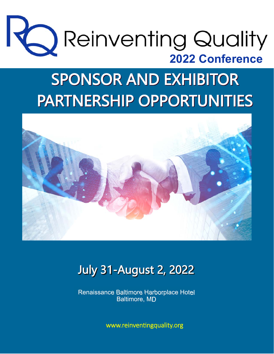

# **SPONSOR AND EXHIBITOR PARTNERSHIP OPPORTUNITIES**



# **July 31-August 2, 2022**

Renaissance Baltimore Harborplace Hotel Baltimore, MD

www.reinventingquality.org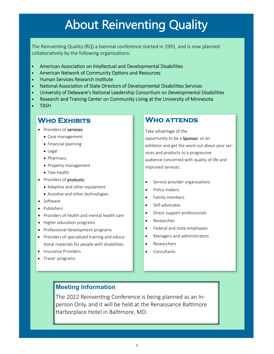# About Reinventing Quality

The Reinventing Quality (RQ) a biennial conference started in 1991, and is now planned collaboratively by the following organizations:

- American Association on Intellectual and Developmental Disabilities
- American Network of Community Options and Resources
- Human Services Research Institute
- National Association of State Directors of Developmental Disabilities Services
- University of Delaware's National Leadership Consortium on Developmental Disabilities
- Research and Training Center on Community Living at the University of Minnesota
- TASH

### **Who Exhibits**

- Providers of services:
	- Case management
	- Financial planning
	- Legal
	- Pharmacy
	- Property management
	- Tele-health
- Providers of products:
	- Adaptive and other equipment
	- Assistive and other technologies
- Software
- Publishers
- Providers of health and mental health care
- Higher education programs
- Professional development programs
- Providers of specialized training and educational materials for people with disabilities
- Insurance Providers
- Travel programs

### **Who attends**

Take advantage of the opportunity to be a Sponsor or an exhibitor and get the word out about your services and products to a progressive audience concerned with quality of life and improved services.

- Service provider organizations
- Policy makers
- **•** Family members
- Self-advocates
- Direct support professionals
- Researches
- Federal and state employees
- Managers and administrators
- Researchers
- Consultants

### **Meeting Information**

The 2022 Reinventing Conference is being planned as an Inperson Only, and it will be held at the Renaissance Baltimore Harborplace Hotel in Baltimore, MD.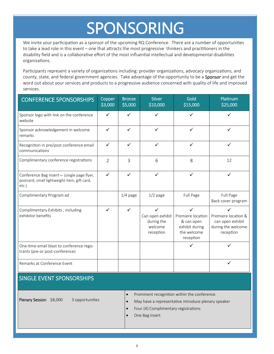# SPONSORING

We invite your participation as a sponsor of the upcoming RQ Conference. There are a number of opportunities to take a lead role in this event – one that attracts the most progressive thinkers and practitioners in the disability field and is a collaborative effort of the most influential intellectual and developmental disabilities organizaƟons.

Participants represent a variety of organizations including: provider organizations, advocacy organizations, and county, state, and federal government agencies. Take advantage of the opportunity to be a Sponsor and get the word out about your services and products to a progressive audience concerned with quality of life and improved services.

| CONFERENCE SPONSORSHIPS                                                                             | Copper<br>\$3,000 | <b>Bronze</b><br>\$5,000 | <b>Silver</b><br>\$10,000                                              | Gold<br>\$15,000                                                                              | Platinum<br>\$25,000                                                            |
|-----------------------------------------------------------------------------------------------------|-------------------|--------------------------|------------------------------------------------------------------------|-----------------------------------------------------------------------------------------------|---------------------------------------------------------------------------------|
| Sponsor logo with link on the conference<br>website                                                 | $\checkmark$      | $\checkmark$             | $\checkmark$                                                           | $\checkmark$                                                                                  | ✓                                                                               |
| Sponsor acknowledgement in welcome<br>remarks                                                       | ✓                 | $\checkmark$             | $\checkmark$                                                           | ✓                                                                                             |                                                                                 |
| Recognition in pre/post conference email<br>communications                                          | $\checkmark$      | $\checkmark$             | ✓                                                                      | $\checkmark$                                                                                  | ✓                                                                               |
| Complimentary conference registrations                                                              | $\overline{2}$    | $\overline{3}$           | 6                                                                      | 8                                                                                             | 12                                                                              |
| Conference Bag Insert- (single page flyer,<br>postcard, small lightweight item, gift card,<br>etc.) | $\checkmark$      | $\checkmark$             | $\checkmark$                                                           | $\checkmark$                                                                                  | ✓                                                                               |
| Complimentary Program ad                                                                            |                   | $1/4$ page               | $1/2$ page                                                             | Full Page                                                                                     | Full Page<br>Back cover program                                                 |
| Complimentary Exhibits, including<br>exhibitor benefits                                             | $\checkmark$      | $\checkmark$             | $\checkmark$<br>Can open exhibit<br>during the<br>welcome<br>reception | $\checkmark$<br>Premiere location<br>& can open<br>exhibit during<br>the welcome<br>reception | ✓<br>Premiere location &<br>can open exhibit<br>during the welcome<br>reception |
| One-time email blast to conference regis-<br>trants (pre-or post-conference)                        |                   |                          |                                                                        | ✓                                                                                             | ✓                                                                               |
| Remarks at Conference Event                                                                         |                   |                          |                                                                        |                                                                                               |                                                                                 |

#### SINGLE EVENT SPONSORSHIPS

Plenary Session \$8,000 3 opportunities

• Prominent recognition within the conference.

• May have a representative introduce plenary speaker

- Four (4) Complimentary registrations
- One Bag Insert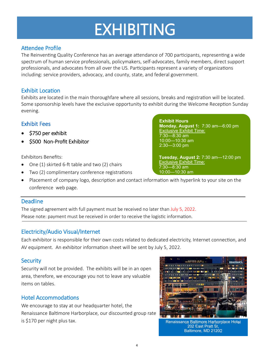# EXHIBITING

#### Attendee Profile

The Reinventing Quality Conference has an average attendance of 700 participants, representing a wide spectrum of human service professionals, policymakers, self-advocates, family members, direct support professionals, and advocates from all over the US. Participants represent a variety of organizations including: service providers, advocacy, and county, state, and federal government.

#### Exhibit Location

Exhibits are located in the main thoroughfare where all sessions, breaks and registration will be located. Some sponsorship levels have the exclusive opportunity to exhibit during the Welcome Reception Sunday evening.

#### Exhibit Fees

- \$750 per exhibit
- \$500 Non-Profit Exhibitor

Exhibitors Benefits:

- One (1) skirted 6-ft table and two (2) chairs
- Two (2) complimentary conference registrations
- Placement of company logo, description and contact information with hyperlink to your site on the conference web page.

#### **Deadline**

The signed agreement with full payment must be received no later than July 5, 2022. Please note: payment must be received in order to receive the logistic information.

#### Electricity/Audio Visual/Internet

Each exhibitor is responsible for their own costs related to dedicated electricity, Internet connection, and AV equipment. An exhibitor information sheet will be sent by July 5, 2022.

#### **Security**

Security will not be provided. The exhibits will be in an open area, therefore, we encourage you not to leave any valuable items on tables.

#### Hotel Accommodations

We encourage to stay at our headquarter hotel, the Renaissance Baltimore Harborplace, our discounted group rate is \$170 per night plus tax.



202 East Pratt St, Baltimore, MD 21202

**Exhibit Hours Monday, August 1:** 7:30 am—6:00 pm Exclusive Exhibit Time: 7:30—8:30 am 10:00—10:30 am 2:30—3:00 pm

**Tuesday, August 2:** 7:30 am—12:00 pm Exclusive Exhibit Time: 7:30—8:30 am 10:00—10:30 am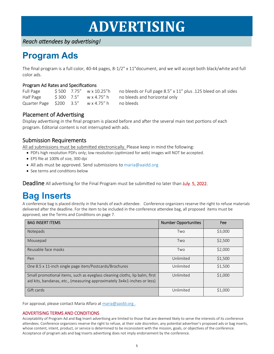# **ADVERTISING**

*Reach aƩendees by adverƟsing!* 

## **Program Ads**

The final program is a full color, 40-44 pages, 8-1/2" x 11"document, and we will accept both black/white and full color ads.

#### Program Ad Rates and Specifications

Half Page  $\frac{1}{5}$  300 7.5" w x 4.75" h no bleeds and horizontal only Quarter Page \$200 3.5" w x 4.75" h no bleeds

Full Page \$500 7.75" w x 10.25"h no bleeds or Full page 8.5" x 11" plus .125 bleed on all sides

#### Placement of Advertising

Display advertising in the final program is placed before and after the several main text portions of each program. Editorial content is not interrupted with ads.

#### Submission Requirements

All ad submissions must be submitted electronically. Please keep in mind the following:

- PDFs high resolution PDFs only; low resolution (optimized for web) images will NOT be accepted.
- EPS file at 100% of size, 300 dpi
- All ads must be approved. Send submissions to maria@aaidd.org
- See terms and conditions below

**Deadline** All advertising for the Final Program must be submitted no later than **July 5, 2022.** 

## **Bag Inserts**

A conference bag is placed directly in the hands of each attendee. Conference organizers reserve the right to refuse materials delivered after the deadline. For the item to be included in the conference attendee bag, all proposed items must be approved, see the Terms and Conditions on page 7.

| <b>BAG INSERT ITEMS</b>                                                                                                                                | <b>Number Opportunities</b> | Fee     |  |
|--------------------------------------------------------------------------------------------------------------------------------------------------------|-----------------------------|---------|--|
| <b>Notepads</b>                                                                                                                                        | Two                         | \$3,000 |  |
| Mousepad                                                                                                                                               | Two                         | \$2,500 |  |
| Reusable face masks                                                                                                                                    | Two                         | \$2,000 |  |
| Pen                                                                                                                                                    | Unlimited                   | \$1,500 |  |
| One 8.5 x 11-inch single page item/Postcards/Brochures                                                                                                 | Unlimited                   | \$1,500 |  |
| Small promotional items, such as eyeglass cleaning cloths, lip balm, first<br>aid kits, bandanas, etc., (measuring approximately 3x4x1-inches or less) | Unlimited                   | \$1,000 |  |
| Gift cards                                                                                                                                             | Unlimited                   | \$1,000 |  |

For approval, please contact Maria Alfaro at maria@aaidd.org .

#### ADVERTISING TERMS AND CONDITIONS

Acceptability of Program Ad and Bag Insert advertising are limited to those that are deemed likely to serve the interests of its conference attendees. Conference organizers reserve the right to refuse, at their sole discretion, any potential advertiser's proposed ads or bag inserts, whose content, intent, product, or service is determined to be inconsistent with the mission, goals, or objectives of the conference. Acceptance of program ads and bag Inserts advertising does not imply endorsement by the conference.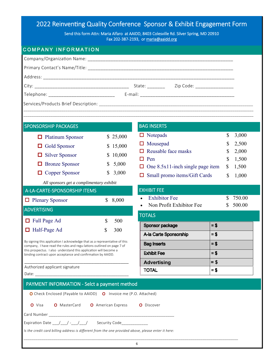## 2022 Reinventing Quality Conference Sponsor & Exhibit Engagement Form

Send this form Attn: Maria Alfaro at AAIDD, 8403 Colesville Rd. Silver Spring, MD 20910 Fax 202-387-2193, or maria@aaidd.org

#### COMPANY INFORMATION

| Zip Code: __________________                                                                                                                        |                                                      |          |                                         |        |        |        |  |  |  |  |
|-----------------------------------------------------------------------------------------------------------------------------------------------------|------------------------------------------------------|----------|-----------------------------------------|--------|--------|--------|--|--|--|--|
|                                                                                                                                                     |                                                      |          |                                         |        |        |        |  |  |  |  |
|                                                                                                                                                     |                                                      |          |                                         |        |        |        |  |  |  |  |
|                                                                                                                                                     |                                                      |          |                                         |        |        |        |  |  |  |  |
| <b>SPONSORSHIP PACKAGES</b>                                                                                                                         |                                                      |          | <b>BAG INSERTS</b>                      |        |        |        |  |  |  |  |
| $\Box$ Platinum Sponsor                                                                                                                             |                                                      | \$25,000 | $\Box$ Notepads                         |        | \$     | 3,000  |  |  |  |  |
| <b>Gold Sponsor</b><br>$\Box$                                                                                                                       |                                                      | \$15,000 | Mousepad                                |        | \$     | 2,500  |  |  |  |  |
| <b>Silver Sponsor</b><br>□                                                                                                                          | \$                                                   | 10,000   | Reusable face masks                     |        | \$     | 2,000  |  |  |  |  |
| <b>Bronze Sponsor</b>                                                                                                                               | \$                                                   | 5,000    | $\Box$ Pen                              |        |        | 1,500  |  |  |  |  |
| Copper Sponsor<br>□                                                                                                                                 | \$                                                   | 3,000    | $\Box$ One 8.5x11-inch single page item |        |        | 1,500  |  |  |  |  |
|                                                                                                                                                     |                                                      |          | Small promo items/Gift Cards            |        |        | 1,000  |  |  |  |  |
| All sponsors get a complimentary exhibit<br><b>EXHIBIT FEE</b>                                                                                      |                                                      |          |                                         |        |        |        |  |  |  |  |
|                                                                                                                                                     | A-LA-CARTE-SPONSORSHIP ITEMS<br><b>Exhibitor</b> Fee |          |                                         | S      | 750.00 |        |  |  |  |  |
| $\Box$ Plenary Sponsor                                                                                                                              | $\mathbb{S}$                                         | 8,000    | Non Profit Exhibitor Fee                |        | S      | 500.00 |  |  |  |  |
| <b>ADVERTISING</b>                                                                                                                                  |                                                      |          | <b>TOTALS</b>                           |        |        |        |  |  |  |  |
| □ Full Page Ad                                                                                                                                      | \$                                                   | 500      | <b>Sponsor package</b>                  | $=$ \$ |        |        |  |  |  |  |
| $\Box$ Half-Page Ad                                                                                                                                 | \$                                                   | 300      | A-la Carte Sponsorship                  | $= $$  |        |        |  |  |  |  |
| By signing this application I acknowledge that as a representative of this<br>company, I have read the rules and regu-lations outlined on page 7 of |                                                      |          | $= $$<br><b>Bag Inserts</b>             |        |        |        |  |  |  |  |
| this prospectus. I also understand this application will become a<br>binding contract upon acceptance and confirmation by AAIDD.                    |                                                      |          | $= $$<br><b>Exhibit Fee</b>             |        |        |        |  |  |  |  |
|                                                                                                                                                     |                                                      |          | <b>Advertising</b>                      | $=$ \$ |        |        |  |  |  |  |
| Authorized applicant signature                                                                                                                      |                                                      |          | <b>TOTAL</b>                            | $= $$  |        |        |  |  |  |  |
|                                                                                                                                                     |                                                      |          |                                         |        |        |        |  |  |  |  |
| PAYMENT INFORMATION - Selct a payment method                                                                                                        |                                                      |          |                                         |        |        |        |  |  |  |  |
| O Check Enclosed (Payable to AAIDD) O Invoice me (P.O. Attached)                                                                                    |                                                      |          |                                         |        |        |        |  |  |  |  |
| <b>O</b> MasterCard <b>O</b> American Express<br>O Visa<br>O Discover                                                                               |                                                      |          |                                         |        |        |        |  |  |  |  |
|                                                                                                                                                     |                                                      |          |                                         |        |        |        |  |  |  |  |
| Expiration Date __/__/ -__/__/ Security Code____________                                                                                            |                                                      |          |                                         |        |        |        |  |  |  |  |
| Is the credit card billing address is different from the one provided above, please enter it here:                                                  |                                                      |          |                                         |        |        |        |  |  |  |  |
| 6                                                                                                                                                   |                                                      |          |                                         |        |        |        |  |  |  |  |